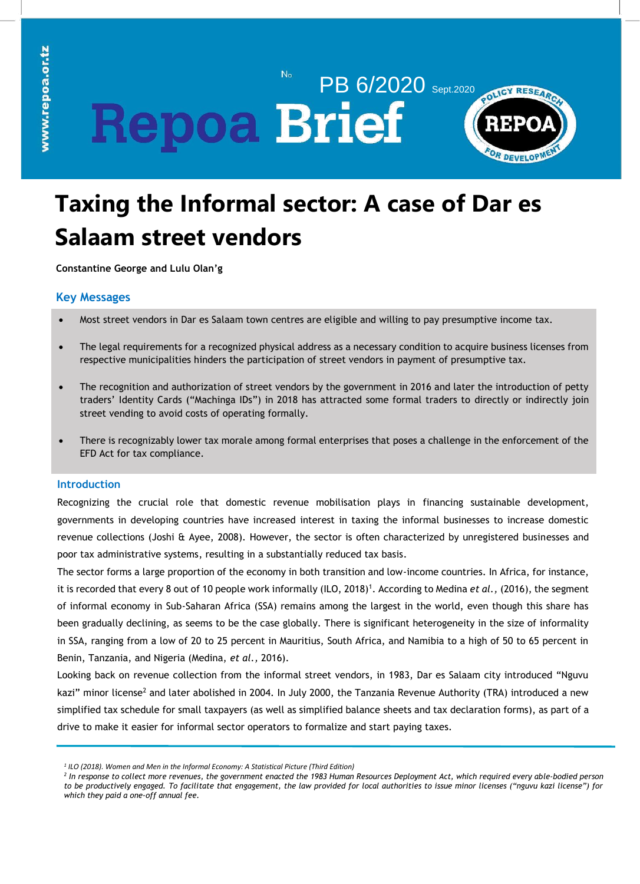# PB 6/2020 Sept.2020 **Repoa Brief**



# **Taxing the Informal sector: A case of Dar es Salaam street vendors**

 $No$ 

**Constantine George and Lulu Olan'g**

## **Key Messages**

- Most street vendors in Dar es Salaam town centres are eligible and willing to pay presumptive income tax.
- The legal requirements for a recognized physical address as a necessary condition to acquire business licenses from respective municipalities hinders the participation of street vendors in payment of presumptive tax.
- The recognition and authorization of street vendors by the government in 2016 and later the introduction of petty traders' Identity Cards ("Machinga IDs") in 2018 has attracted some formal traders to directly or indirectly join street vending to avoid costs of operating formally.
- There is recognizably lower tax morale among formal enterprises that poses a challenge in the enforcement of the EFD Act for tax compliance.

### **Introduction**

Recognizing the crucial role that domestic revenue mobilisation plays in financing sustainable development, governments in developing countries have increased interest in taxing the informal businesses to increase domestic revenue collections (Joshi & Ayee, 2008). However, the sector is often characterized by unregistered businesses and poor tax administrative systems, resulting in a substantially reduced tax basis.

The sector forms a large proportion of the economy in both transition and low-income countries. In Africa, for instance, it is recorded that every 8 out of 10 people work informally (ILO, 2018)<sup>1</sup>. According to Medina *et al.,* (2016), the segment of informal economy in Sub-Saharan Africa (SSA) remains among the largest in the world, even though this share has been gradually declining, as seems to be the case globally. There is significant heterogeneity in the size of informality in SSA, ranging from a low of 20 to 25 percent in Mauritius, South Africa, and Namibia to a high of 50 to 65 percent in Benin, Tanzania, and Nigeria (Medina, *et al.,* 2016).

Looking back on revenue collection from the informal street vendors, in 1983, Dar es Salaam city introduced "Nguvu kazi" minor license<sup>2</sup> and later abolished in 2004. In July 2000, the Tanzania Revenue Authority (TRA) introduced a new simplified tax schedule for small taxpayers (as well as simplified balance sheets and tax declaration forms), as part of a drive to make it easier for informal sector operators to formalize and start paying taxes.

*<sup>1</sup> ILO (2018). Women and Men in the Informal Economy: A Statistical Picture (Third Edition)*

*<sup>2</sup> In response to collect more revenues, the government enacted the 1983 Human Resources Deployment Act, which required every able-bodied person to be productively engaged. To facilitate that engagement, the law provided for local authorities to issue minor licenses ("nguvu kazi license") for which they paid a one-off annual fee.*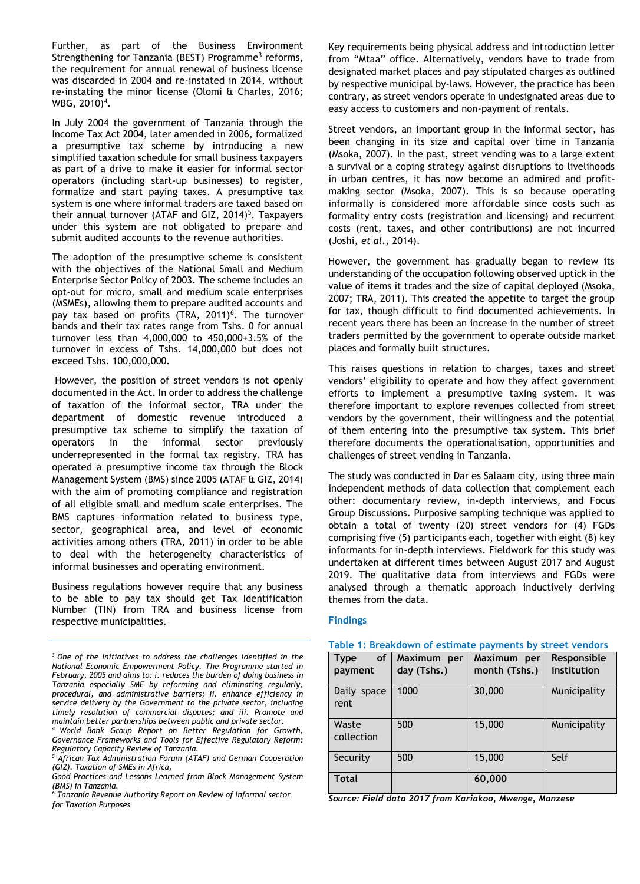Further, as part of the Business Environment Strengthening for Tanzania (BEST) Programme<sup>3</sup> reforms, the requirement for annual renewal of business license was discarded in 2004 and re-instated in 2014, without re-instating the minor license (Olomi & Charles, 2016; WBG, 2010)<sup>4</sup>.

In July 2004 the government of Tanzania through the Income Tax Act 2004, later amended in 2006, formalized a presumptive tax scheme by introducing a new simplified taxation schedule for small business taxpayers as part of a drive to make it easier for informal sector operators (including start-up businesses) to register, formalize and start paying taxes. A presumptive tax system is one where informal traders are taxed based on their annual turnover (ATAF and GIZ, 2014)<sup>5</sup>. Taxpayers under this system are not obligated to prepare and submit audited accounts to the revenue authorities.

pay tax based on profits (TRA, 2011)<sup>6</sup>. The turnover bands and their tax rates range from Tshs. 0 for annual turnover less than 4,000,000 to 450,000+3.5% of the turnover in excess of Tshs. 14,000,000 but does not exceed Tshs. 100,000,000. The adoption of the presumptive scheme is consistent with the objectives of the National Small and Medium Enterprise Sector Policy of 2003. The scheme includes an opt-out for micro, small and medium scale enterprises (MSMEs), allowing them to prepare audited accounts and

Table 2 depicts, on average, However, the position of street vendors is not openly documented in the Act. In order to address the challenge of taxation of the informal sector, TRA under the department of domestic revenue introduced a presumptive tax scheme to simplify the taxation of operators in the informal sector previously underrepresented in the formal tax registry. TRA has operated a presumptive income tax through the Block and <u>the state of</u> Management System (BMS) since 2005 (ATAF & GIZ, 2014) The sti with the aim of promoting compliance and registration of all eligible small and medium scale enterprises. The BMS captures information related to business type, sector, geographical area, and level of economic activities among others (TRA, 2011) in order to be able to deal with the heterogeneity characteristics of informal businesses and operating environment.

Business regulations however require that any business to be able to pay tax should get Tax Identification Number (TIN) from TRA and business license from respective municipalities.

Key requirements being physical address and introduction letter from "Mtaa" office. Alternatively, vendors have to trade from designated market places and pay stipulated charges as outlined by respective municipal by-laws. However, the practice has been contrary, as street vendors operate in undesignated areas due to easy access to customers and non-payment of rentals.

Street vendors, an important group in the informal sector, has been changing in its size and capital over time in Tanzania (Msoka, 2007). In the past, street vending was to a large extent a survival or a coping strategy against disruptions to livelihoods in urban centres, it has now become an admired and profitmaking sector (Msoka, 2007). This is so because operating informally is considered more affordable since costs such as formality entry costs (registration and licensing) and recurrent costs (rent, taxes, and other contributions) are not incurred (Joshi, *et al*., 2014).

However, the government has gradually began to review its understanding of the occupation following observed uptick in the value of items it trades and the size of capital deployed (Msoka, 2007; TRA, 2011). This created the appetite to target the group for tax, though difficult to find documented achievements. In recent years there has been an increase in the number of street traders permitted by the government to operate outside market places and formally built structures.

This raises questions in relation to charges, taxes and street vendors' eligibility to operate and how they affect government efforts to implement a presumptive taxing system. It was therefore important to explore revenues collected from street vendors by the government, their willingness and the potential of them entering into the presumptive tax system. This brief therefore documents the operationalisation, opportunities and challenges of street vending in Tanzania.

The study was conducted in Dar es Salaam city, using three main independent methods of data collection that complement each other: documentary review, in-depth interviews, and Focus Group Discussions. Purposive sampling technique was applied to obtain a total of twenty (20) street vendors for (4) FGDs comprising five (5) participants each, together with eight (8) key informants for in-depth interviews. Fieldwork for this study was undertaken at different times between August 2017 and August 2019. The qualitative data from interviews and FGDs were analysed through a thematic approach inductively deriving themes from the data.

#### **Findings**

| Table 1: Breakdown of estimate payments by street vendors |                            |                              |                            |  |  |
|-----------------------------------------------------------|----------------------------|------------------------------|----------------------------|--|--|
| of<br><b>Type</b><br>payment                              | Maximum per<br>day (Tshs.) | Maximum per<br>month (Tshs.) | Responsible<br>institution |  |  |
| Daily space<br>rent                                       | 1000                       | 30,000                       | Municipality               |  |  |
| Waste<br>collection                                       | 500                        | 15,000                       | Municipality               |  |  |
| Security                                                  | 500                        | 15,000                       | Self                       |  |  |
| <b>Total</b>                                              |                            | 60,000                       |                            |  |  |

*Source: Field data 2017 from Kariakoo, Mwenge, Manzese*

*<sup>3</sup>One of the initiatives to address the challenges identified in the National Economic Empowerment Policy. The Programme started in February, 2005 and aims to: i. reduces the burden of doing business in Tanzania especially SME by reforming and eliminating regularly, procedural, and administrative barriers; ii. enhance efficiency in service delivery by the Government to the private sector, including timely resolution of commercial disputes; and iii. Promote and maintain better partnerships between public and private sector.*

*<sup>4</sup>World Bank Group Report on Better Regulation for Growth, Governance Frameworks and Tools for Effective Regulatory Reform: Regulatory Capacity Review of Tanzania.*

*<sup>5</sup> African Tax Administration Forum (ATAF) and German Cooperation (GIZ). Taxation of SMEs in Africa,*

*Good Practices and Lessons Learned from Block Management System (BMS) in Tanzania.*

*<sup>6</sup> Tanzania Revenue Authority Report on Review of Informal sector for Taxation Purposes*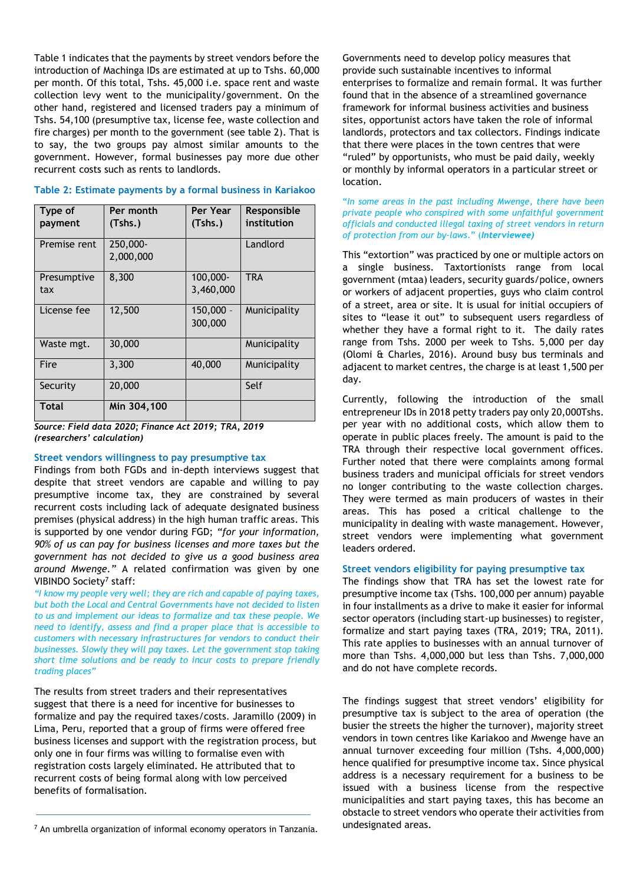Table 1 indicates that the payments by street vendors before the introduction of Machinga IDs are estimated at up to Tshs. 60,000 per month. Of this total, Tshs. 45,000 i.e. space rent and waste collection levy went to the municipality/government. On the other hand, registered and licensed traders pay a minimum of Tshs. 54,100 (presumptive tax, license fee, waste collection and fire charges) per month to the government (see table 2). That is to say, the two groups pay almost similar amounts to the government. However, formal businesses pay more due other recurrent costs such as rents to landlords.

| Type of<br>payment | Per month<br>(Tshs.)  | Per Year<br>(Tshs.)    | Responsible<br>institution |
|--------------------|-----------------------|------------------------|----------------------------|
| Premise rent       | 250,000-<br>2,000,000 |                        | Landlord                   |
| Presumptive<br>tax | 8,300                 | 100,000-<br>3,460,000  | <b>TRA</b>                 |
| License fee        | 12,500                | $150,000 -$<br>300,000 | Municipality               |
| Waste mgt.         | 30,000                |                        | Municipality               |
| Fire               | 3,300                 | 40,000                 | Municipality               |
| Security           | 20,000                |                        | Self                       |
| <b>Total</b>       | Min 304,100           |                        |                            |

#### **Table 2: Estimate payments by a formal business in Kariakoo**

*Source: Field data 2020; Finance Act 2019; TRA, 2019 (researchers' calculation)*

#### **Street vendors willingness to pay presumptive tax**

Findings from both FGDs and in-depth interviews suggest that despite that street vendors are capable and willing to pay presumptive income tax, they are constrained by several recurrent costs including lack of adequate designated business premises (physical address) in the high human traffic areas. This is supported by one vendor during FGD; *"for your information, 90% of us can pay for business licenses and more taxes but the government has not decided to give us a good business area around Mwenge."* A related confirmation was given by one VIBINDO Society<sup>7</sup> staff:

"I know my people very well; they are rich and capable of paying taxes, *but both the Local and Central Governments have not decided to listen to us and implement our ideas to formalize and tax these people. We need to identify, assess and find a proper place that is accessible to customers with necessary infrastructures for vendors to conduct their businesses. Slowly they will pay taxes. Let the government stop taking short time solutions and be ready to incur costs to prepare friendly trading places"*

The results from street traders and their representatives suggest that there is a need for incentive for businesses to formalize and pay the required taxes/costs. Jaramillo (2009) in Lima, Peru, reported that a group of firms were offered free business licenses and support with the registration process, but only one in four firms was willing to formalise even with registration costs largely eliminated. He attributed that to recurrent costs of being formal along with low perceived benefits of formalisation.

Governments need to develop policy measures that provide such sustainable incentives to informal enterprises to formalize and remain formal. It was further found that in the absence of a streamlined governance framework for informal business activities and business sites, opportunist actors have taken the role of informal landlords, protectors and tax collectors. Findings indicate that there were places in the town centres that were "ruled" by opportunists, who must be paid daily, weekly or monthly by informal operators in a particular street or location.

#### "*In some areas in the past including Mwenge, there have been private people who conspired with some unfaithful government officials and conducted illegal taxing of street vendors in return of protection from our by-laws*." (*Interviewee)*

This "extortion" was practiced by one or multiple actors on a single business. Taxtortionists range from local government (mtaa) leaders, security guards/police, owners or workers of adjacent properties, guys who claim control of a street, area or site. It is usual for initial occupiers of sites to "lease it out" to subsequent users regardless of whether they have a formal right to it. The daily rates range from Tshs. 2000 per week to Tshs. 5,000 per day (Olomi & Charles, 2016). Around busy bus terminals and adjacent to market centres, the charge is at least 1,500 per day.

Currently, following the introduction of the small entrepreneur IDs in 2018 petty traders pay only 20,000Tshs. per year with no additional costs, which allow them to operate in public places freely. The amount is paid to the TRA through their respective local government offices. Further noted that there were complaints among formal business traders and municipal officials for street vendors no longer contributing to the waste collection charges. They were termed as main producers of wastes in their areas. This has posed a critical challenge to the municipality in dealing with waste management. However, street vendors were implementing what government leaders ordered.

#### **Street vendors eligibility for paying presumptive tax**

The findings show that TRA has set the lowest rate for presumptive income tax (Tshs. 100,000 per annum) payable in four installments as a drive to make it easier for informal sector operators (including start-up businesses) to register, formalize and start paying taxes (TRA, 2019; TRA, 2011). This rate applies to businesses with an annual turnover of more than Tshs. 4,000,000 but less than Tshs. 7,000,000 and do not have complete records.

The findings suggest that street vendors' eligibility for presumptive tax is subject to the area of operation (the busier the streets the higher the turnover), majority street vendors in town centres like Kariakoo and Mwenge have an annual turnover exceeding four million (Tshs. 4,000,000) hence qualified for presumptive income tax. Since physical address is a necessary requirement for a business to be issued with a business license from the respective municipalities and start paying taxes, this has become an obstacle to street vendors who operate their activities from undesignated areas.

<sup>7</sup> An umbrella organization of informal economy operators in Tanzania.